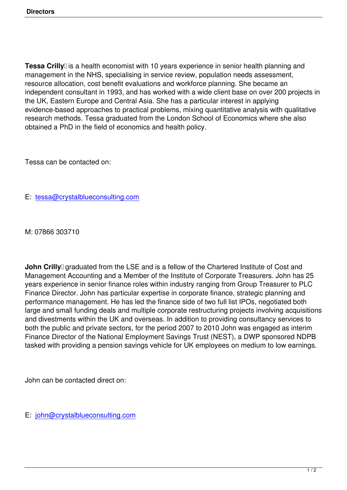**Tessa Crilly** lis a health economist with 10 years experience in senior health planning and management in the NHS, specialising in service review, population needs assessment, resource allocation, cost benefit evaluations and workforce planning. She became an independent consultant in 1993, and has worked with a wide client base on over 200 projects in the UK, Eastern Europe and Central Asia. She has a particular interest in applying evidence-based approaches to practical problems, mixing quantitative analysis with qualitative research methods. Tessa graduated from the London School of Economics where she also obtained a PhD in the field of economics and health policy.

Tessa can be contacted on:

E: tessa@crystalblueconsulting.com

M: [07866 303710](mailto:tessa@crystalblueconsulting.com)

**John Crilly** graduated from the LSE and is a fellow of the Chartered Institute of Cost and Management Accounting and a Member of the Institute of Corporate Treasurers. John has 25 years experience in senior finance roles within industry ranging from Group Treasurer to PLC Finance Director. John has particular expertise in corporate finance, strategic planning and performance management. He has led the finance side of two full list IPOs, negotiated both large and small funding deals and multiple corporate restructuring projects involving acquisitions and divestments within the UK and overseas. In addition to providing consultancy services to both the public and private sectors, for the period 2007 to 2010 John was engaged as interim Finance Director of the National Employment Savings Trust (NEST), a DWP sponsored NDPB tasked with providing a pension savings vehicle for UK employees on medium to low earnings.

John can be contacted direct on:

E: john@crystalblueconsulting.com